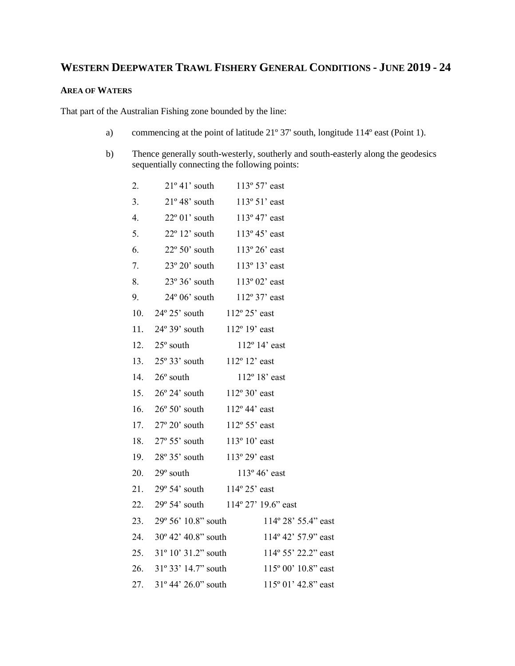# **WESTERN DEEPWATER TRAWL FISHERY GENERAL CONDITIONS - JUNE 2019 - 24**

# **AREA OF WATERS**

That part of the Australian Fishing zone bounded by the line:

- a) commencing at the point of latitude 21º 37' south, longitude 114º east (Point 1).
- b) Thence generally south-westerly, southerly and south-easterly along the geodesics sequentially connecting the following points:

| 2.  |                                          | $21^{\circ} 41'$ south $113^{\circ} 57'$ east |
|-----|------------------------------------------|-----------------------------------------------|
|     |                                          |                                               |
| 3.  |                                          | $21^{\circ} 48'$ south $113^{\circ} 51'$ east |
| 4.  |                                          | $22^{\circ} 01'$ south $113^{\circ} 47'$ east |
| 5.  |                                          | $22^{\circ} 12'$ south $113^{\circ} 45'$ east |
| 6.  |                                          | $22^{\circ} 50'$ south $113^{\circ} 26'$ east |
| 7.  |                                          | 23° 20' south 113° 13' east                   |
| 8.  |                                          | $23^{\circ} 36'$ south $113^{\circ} 02'$ east |
| 9.  |                                          | 24° 06' south 112° 37' east                   |
|     | 10. $24^{\circ} 25'$ south               | $112^{\circ} 25'$ east                        |
|     | 11. $24^{\circ}39'$ south 112° 19' east  |                                               |
|     | 12. $25^{\circ}$ south                   | $112^{\circ}$ 14' east                        |
|     | 13. $25^{\circ} 33'$ south 112° 12' east |                                               |
|     | 14. $26^{\circ}$ south                   | 112° 18' east                                 |
|     | 15. $26^{\circ} 24'$ south               | $112^{\circ}30'$ east                         |
|     | 16. $26^{\circ} 50'$ south               | $112^{\circ}$ 44' east                        |
|     | 17. $27^{\circ} 20'$ south               | $112^{\circ} 55'$ east                        |
|     | 18. $27^{\circ} 55'$ south               | $113^{\circ} 10'$ east                        |
| 19. | 28° 35' south 113° 29' east              |                                               |
| 20. | $29^{\circ}$ south                       | $113^{\circ} 46'$ east                        |
|     | 21. $29^{\circ} 54'$ south               | $114^{\circ} 25'$ east                        |
|     |                                          | 22. 29° 54' south 114° 27' 19.6" east         |
|     |                                          | 23. 29° 56' 10.8" south 114° 28' 55.4" east   |
| 24. | $30^{\circ}$ 42' 40.8" south             | 114° 42' 57.9" east                           |
| 25. | $31^{\circ} 10' 31.2"$ south             | 114° 55' 22.2" east                           |
| 26. | $31^{\circ} 33' 14.7"$ south             | 115° 00' 10.8" east                           |
| 27. | 31° 44' 26.0" south                      | 115° 01' 42.8" east                           |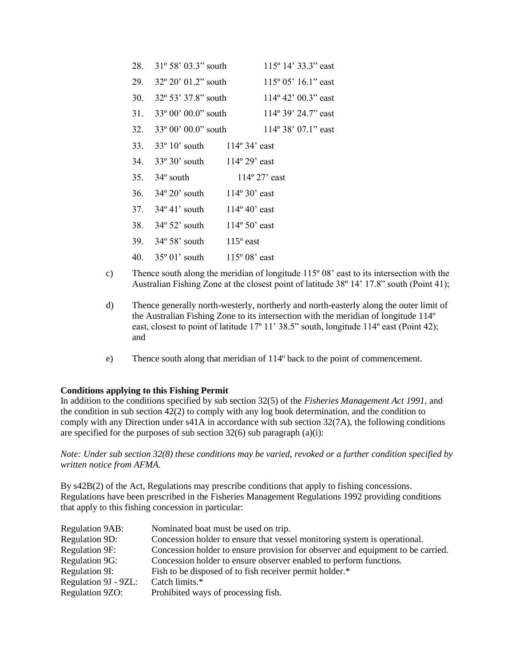|  | 28. 31° 58' 03.3" south                            | $115^{\circ}$ 14' 33.3" east                |
|--|----------------------------------------------------|---------------------------------------------|
|  |                                                    | 29. 32° 20' 01.2" south 115° 05' 16.1" east |
|  |                                                    | 30. 32° 53' 37.8" south 114° 42' 00.3" east |
|  |                                                    | 31. 33° 00' 00.0" south 114° 39' 24.7" east |
|  |                                                    | 32. 33° 00' 00.0" south 114° 38' 07.1" east |
|  | 33. 33° 10' south 114° 34' east                    |                                             |
|  | 34. 33° 30' south 114° 29' east                    |                                             |
|  | 35. 34° south 114° 27' east                        |                                             |
|  | 36. $34^{\circ} 20'$ south $114^{\circ} 30'$ east  |                                             |
|  | 37. $34^{\circ}$ 41' south 114 $^{\circ}$ 40' east |                                             |
|  | 38. 34° 52' south 114° 50' east                    |                                             |
|  | 39. $34^{\circ} 58'$ south $115^{\circ}$ east      |                                             |
|  | 40. 35° 01' south 115° 08' east                    |                                             |
|  |                                                    |                                             |

- c) Thence south along the meridian of longitude 115º 08' east to its intersection with the Australian Fishing Zone at the closest point of latitude 38º 14' 17.8" south (Point 41);
- d) Thence generally north-westerly, northerly and north-easterly along the outer limit of the Australian Fishing Zone to its intersection with the meridian of longitude 114º east, closest to point of latitude 17<sup>°</sup> 11' 38.5" south, longitude 114<sup>°</sup> east (Point 42); and
- e) Thence south along that meridian of 114º back to the point of commencement.

## **Conditions applying to this Fishing Permit**

In addition to the conditions specified by sub section 32(5) of the *Fisheries Management Act 1991,* and the condition in sub section 42(2) to comply with any log book determination, and the condition to comply with any Direction under s41A in accordance with sub section 32(7A), the following conditions are specified for the purposes of sub section  $32(6)$  sub paragraph (a)(i):

*Note: Under sub section 32(8) these conditions may be varied, revoked or a further condition specified by written notice from AFMA.*

By s42B(2) of the Act, Regulations may prescribe conditions that apply to fishing concessions. Regulations have been prescribed in the Fisheries Management Regulations 1992 providing conditions that apply to this fishing concession in particular:

| <b>Regulation 9AB:</b> | Nominated boat must be used on trip.                                            |
|------------------------|---------------------------------------------------------------------------------|
| Regulation 9D:         | Concession holder to ensure that vessel monitoring system is operational.       |
| Regulation 9F:         | Concession holder to ensure provision for observer and equipment to be carried. |
| <b>Regulation 9G:</b>  | Concession holder to ensure observer enabled to perform functions.              |
| Regulation 9I:         | Fish to be disposed of to fish receiver permit holder.*                         |
| Regulation 9J - 9ZL:   | Catch limits.*                                                                  |
| Regulation 9ZO:        | Prohibited ways of processing fish.                                             |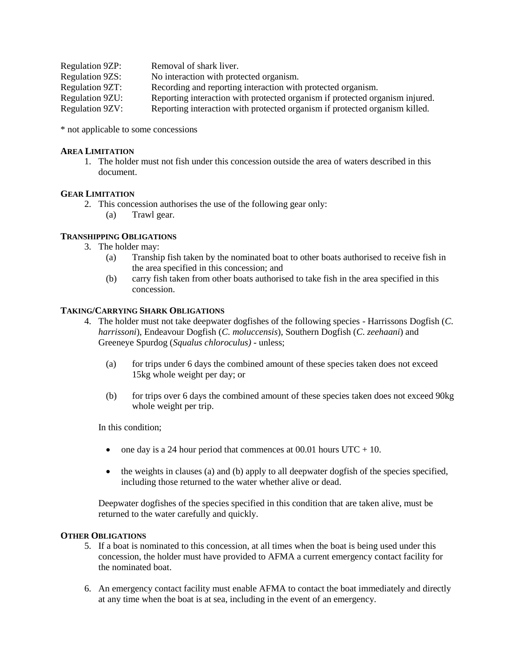| <b>Regulation 9ZP:</b> | Removal of shark liver.                                                      |
|------------------------|------------------------------------------------------------------------------|
| <b>Regulation 9ZS:</b> | No interaction with protected organism.                                      |
| <b>Regulation 9ZT:</b> | Recording and reporting interaction with protected organism.                 |
| Regulation 9ZU:        | Reporting interaction with protected organism if protected organism injured. |
| <b>Regulation 9ZV:</b> | Reporting interaction with protected organism if protected organism killed.  |

\* not applicable to some concessions

## **AREA LIMITATION**

1. The holder must not fish under this concession outside the area of waters described in this document.

## **GEAR LIMITATION**

- 2. This concession authorises the use of the following gear only:
	- (a) Trawl gear.

## **TRANSHIPPING OBLIGATIONS**

- 3. The holder may:
	- (a) Tranship fish taken by the nominated boat to other boats authorised to receive fish in the area specified in this concession; and
	- (b) carry fish taken from other boats authorised to take fish in the area specified in this concession.

## **TAKING/CARRYING SHARK OBLIGATIONS**

- 4. The holder must not take deepwater dogfishes of the following species Harrissons Dogfish (*C*. *harrissoni*), Endeavour Dogfish (*C. moluccensis*), Southern Dogfish (*C*. *zeehaani*) and Greeneye Spurdog (*Squalus chloroculus)* - unless;
	- (a) for trips under 6 days the combined amount of these species taken does not exceed 15kg whole weight per day; or
	- (b) for trips over 6 days the combined amount of these species taken does not exceed 90kg whole weight per trip.

In this condition;

- one day is a 24 hour period that commences at  $00.01$  hours UTC + 10.
- the weights in clauses (a) and (b) apply to all deepwater dogfish of the species specified, including those returned to the water whether alive or dead.

Deepwater dogfishes of the species specified in this condition that are taken alive, must be returned to the water carefully and quickly.

#### **OTHER OBLIGATIONS**

- 5. If a boat is nominated to this concession, at all times when the boat is being used under this concession, the holder must have provided to AFMA a current emergency contact facility for the nominated boat.
- 6. An emergency contact facility must enable AFMA to contact the boat immediately and directly at any time when the boat is at sea, including in the event of an emergency.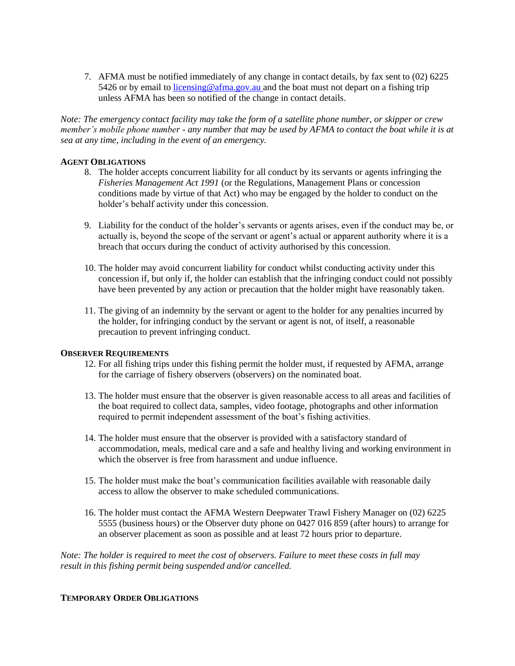7. AFMA must be notified immediately of any change in contact details, by fax sent to (02) 6225 5426 or by email to  $\frac{1}{\text{icensing} \omega \cdot \text{afma.gov.au}}$  and the boat must not depart on a fishing trip unless AFMA has been so notified of the change in contact details.

*Note: The emergency contact facility may take the form of a satellite phone number, or skipper or crew member's mobile phone number - any number that may be used by AFMA to contact the boat while it is at sea at any time, including in the event of an emergency.* 

## **AGENT OBLIGATIONS**

- 8. The holder accepts concurrent liability for all conduct by its servants or agents infringing the *Fisheries Management Act 1991* (or the Regulations, Management Plans or concession conditions made by virtue of that Act) who may be engaged by the holder to conduct on the holder's behalf activity under this concession.
- 9. Liability for the conduct of the holder's servants or agents arises, even if the conduct may be, or actually is, beyond the scope of the servant or agent's actual or apparent authority where it is a breach that occurs during the conduct of activity authorised by this concession.
- 10. The holder may avoid concurrent liability for conduct whilst conducting activity under this concession if, but only if, the holder can establish that the infringing conduct could not possibly have been prevented by any action or precaution that the holder might have reasonably taken.
- 11. The giving of an indemnity by the servant or agent to the holder for any penalties incurred by the holder, for infringing conduct by the servant or agent is not, of itself, a reasonable precaution to prevent infringing conduct.

#### **OBSERVER REQUIREMENTS**

- 12. For all fishing trips under this fishing permit the holder must, if requested by AFMA, arrange for the carriage of fishery observers (observers) on the nominated boat.
- 13. The holder must ensure that the observer is given reasonable access to all areas and facilities of the boat required to collect data, samples, video footage, photographs and other information required to permit independent assessment of the boat's fishing activities.
- 14. The holder must ensure that the observer is provided with a satisfactory standard of accommodation, meals, medical care and a safe and healthy living and working environment in which the observer is free from harassment and undue influence.
- 15. The holder must make the boat's communication facilities available with reasonable daily access to allow the observer to make scheduled communications.
- 16. The holder must contact the AFMA Western Deepwater Trawl Fishery Manager on (02) 6225 5555 (business hours) or the Observer duty phone on 0427 016 859 (after hours) to arrange for an observer placement as soon as possible and at least 72 hours prior to departure.

*Note: The holder is required to meet the cost of observers. Failure to meet these costs in full may result in this fishing permit being suspended and/or cancelled.*

#### **TEMPORARY ORDER OBLIGATIONS**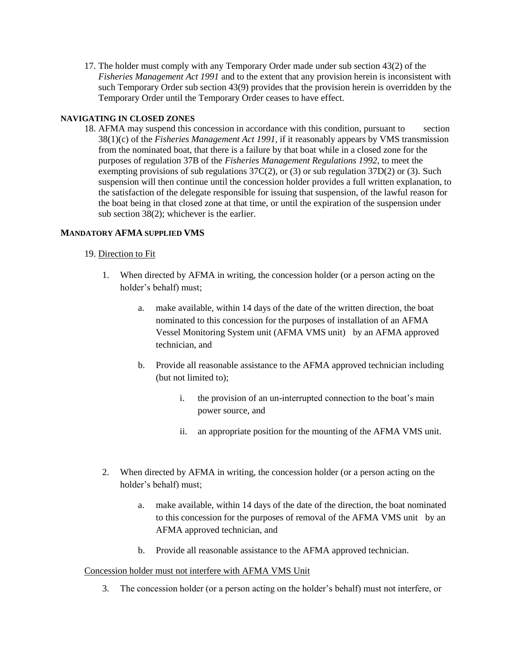17. The holder must comply with any Temporary Order made under sub section 43(2) of the *Fisheries Management Act 1991* and to the extent that any provision herein is inconsistent with such Temporary Order sub section 43(9) provides that the provision herein is overridden by the Temporary Order until the Temporary Order ceases to have effect*.*

## **NAVIGATING IN CLOSED ZONES**

18. AFMA may suspend this concession in accordance with this condition, pursuant to section 38(1)(c) of the *Fisheries Management Act 1991,* if it reasonably appears by VMS transmission from the nominated boat, that there is a failure by that boat while in a closed zone for the purposes of regulation 37B of the *Fisheries Management Regulations 1992*, to meet the exempting provisions of sub regulations 37C(2), or (3) or sub regulation 37D(2) or (3)*.* Such suspension will then continue until the concession holder provides a full written explanation, to the satisfaction of the delegate responsible for issuing that suspension, of the lawful reason for the boat being in that closed zone at that time, or until the expiration of the suspension under sub section 38(2); whichever is the earlier.

# **MANDATORY AFMA SUPPLIED VMS**

## 19. Direction to Fit

- 1. When directed by AFMA in writing, the concession holder (or a person acting on the holder's behalf) must;
	- a. make available, within 14 days of the date of the written direction, the boat nominated to this concession for the purposes of installation of an AFMA Vessel Monitoring System unit (AFMA VMS unit) by an AFMA approved technician, and
	- b. Provide all reasonable assistance to the AFMA approved technician including (but not limited to);
		- i. the provision of an un-interrupted connection to the boat's main power source, and
		- ii. an appropriate position for the mounting of the AFMA VMS unit.
- 2. When directed by AFMA in writing, the concession holder (or a person acting on the holder's behalf) must;
	- a. make available, within 14 days of the date of the direction, the boat nominated to this concession for the purposes of removal of the AFMA VMS unit by an AFMA approved technician, and
	- b. Provide all reasonable assistance to the AFMA approved technician.

## Concession holder must not interfere with AFMA VMS Unit

3. The concession holder (or a person acting on the holder's behalf) must not interfere, or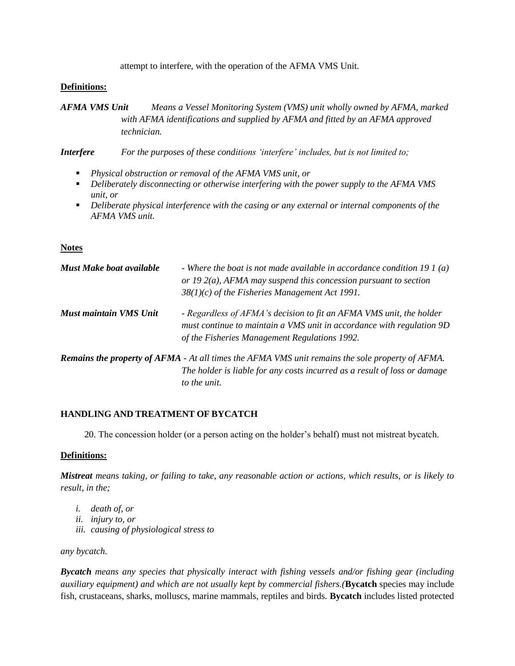attempt to interfere, with the operation of the AFMA VMS Unit.

## **Definitions:**

*AFMA VMS Unit Means a Vessel Monitoring System (VMS) unit wholly owned by AFMA, marked with AFMA identifications and supplied by AFMA and fitted by an AFMA approved technician.*

*Interfere For the purposes of these conditions 'interfere' includes, but is not limited to;*

- *Physical obstruction or removal of the AFMA VMS unit, or*
- *Deliberately disconnecting or otherwise interfering with the power supply to the AFMA VMS unit, or*
- *Deliberate physical interference with the casing or any external or internal components of the AFMA VMS unit.*

# **Notes**

| Must Make boat available | - Where the boat is not made available in accordance condition 19 1 (a)<br>or 19 $2(a)$ , AFMA may suspend this concession pursuant to section<br>$38(1)(c)$ of the Fisheries Management Act 1991. |
|--------------------------|----------------------------------------------------------------------------------------------------------------------------------------------------------------------------------------------------|
| Must maintain VMS Unit   | - Regardless of AFMA's decision to fit an AFMA VMS unit, the holder<br>must continue to maintain a VMS unit in accordance with regulation 9D<br>of the Fisheries Management Regulations 1992.      |
|                          | <b>Remains the property of AFMA</b> - At all times the AFMA VMS unit remains the sole property of AFMA.<br>The holder is liable for any costs incurred as a result of loss or damage               |

# **HANDLING AND TREATMENT OF BYCATCH**

*to the unit.*

20. The concession holder (or a person acting on the holder's behalf) must not mistreat bycatch.

## **Definitions:**

*Mistreat means taking, or failing to take, any reasonable action or actions, which results, or is likely to result, in the;*

- *i. death of, or*
- *ii. injury to, or*
- *iii. causing of physiological stress to*

*any bycatch.*

*Bycatch means any species that physically interact with fishing vessels and/or fishing gear (including auxiliary equipment) and which are not usually kept by commercial fishers.(***Bycatch** species may include fish, crustaceans, sharks, molluscs, marine mammals, reptiles and birds. **Bycatch** includes listed protected